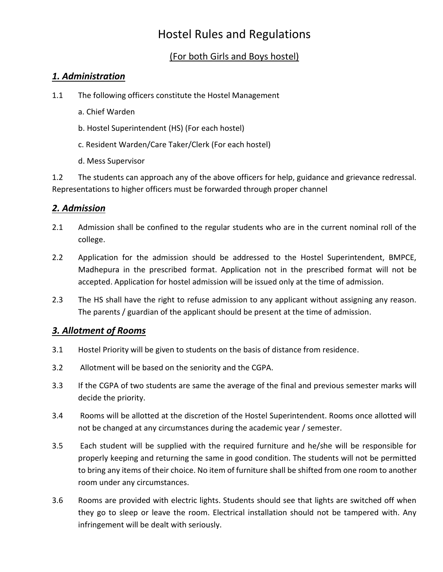# Hostel Rules and Regulations

## (For both Girls and Boys hostel)

#### *1. Administration*

- 1.1 The following officers constitute the Hostel Management
	- a. Chief Warden
	- b. Hostel Superintendent (HS) (For each hostel)
	- c. Resident Warden/Care Taker/Clerk (For each hostel)
	- d. Mess Supervisor

1.2 The students can approach any of the above officers for help, guidance and grievance redressal. Representations to higher officers must be forwarded through proper channel

## *2. Admission*

- 2.1 Admission shall be confined to the regular students who are in the current nominal roll of the college.
- 2.2 Application for the admission should be addressed to the Hostel Superintendent, BMPCE, Madhepura in the prescribed format. Application not in the prescribed format will not be accepted. Application for hostel admission will be issued only at the time of admission.
- 2.3 The HS shall have the right to refuse admission to any applicant without assigning any reason. The parents / guardian of the applicant should be present at the time of admission.

#### *3. Allotment of Rooms*

- 3.1 Hostel Priority will be given to students on the basis of distance from residence.
- 3.2 Allotment will be based on the seniority and the CGPA.
- 3.3 If the CGPA of two students are same the average of the final and previous semester marks will decide the priority.
- 3.4 Rooms will be allotted at the discretion of the Hostel Superintendent. Rooms once allotted will not be changed at any circumstances during the academic year / semester.
- 3.5 Each student will be supplied with the required furniture and he/she will be responsible for properly keeping and returning the same in good condition. The students will not be permitted to bring any items of their choice. No item of furniture shall be shifted from one room to another room under any circumstances.
- 3.6 Rooms are provided with electric lights. Students should see that lights are switched off when they go to sleep or leave the room. Electrical installation should not be tampered with. Any infringement will be dealt with seriously.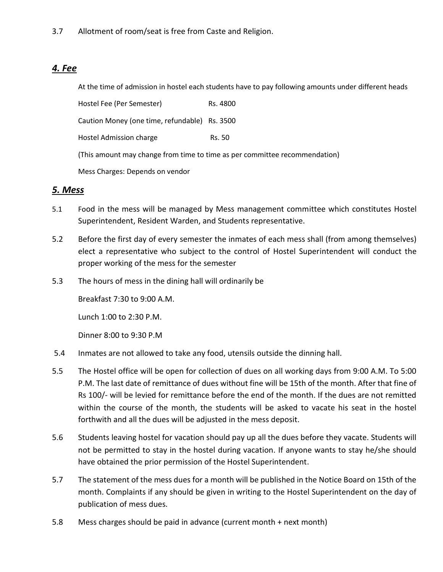## *4. Fee*

At the time of admission in hostel each students have to pay following amounts under different heads

Hostel Fee (Per Semester) Rs. 4800 Caution Money (one time, refundable) Rs. 3500 Hostel Admission charge Rs. 50 (This amount may change from time to time as per committee recommendation) Mess Charges: Depends on vendor

#### *5. Mess*

- 5.1 Food in the mess will be managed by Mess management committee which constitutes Hostel Superintendent, Resident Warden, and Students representative.
- 5.2 Before the first day of every semester the inmates of each mess shall (from among themselves) elect a representative who subject to the control of Hostel Superintendent will conduct the proper working of the mess for the semester
- 5.3 The hours of mess in the dining hall will ordinarily be

Breakfast 7:30 to 9:00 A.M.

Lunch 1:00 to 2:30 P.M.

Dinner 8:00 to 9:30 P.M

- 5.4 Inmates are not allowed to take any food, utensils outside the dinning hall.
- 5.5 The Hostel office will be open for collection of dues on all working days from 9:00 A.M. To 5:00 P.M. The last date of remittance of dues without fine will be 15th of the month. After that fine of Rs 100/- will be levied for remittance before the end of the month. If the dues are not remitted within the course of the month, the students will be asked to vacate his seat in the hostel forthwith and all the dues will be adjusted in the mess deposit.
- 5.6 Students leaving hostel for vacation should pay up all the dues before they vacate. Students will not be permitted to stay in the hostel during vacation. If anyone wants to stay he/she should have obtained the prior permission of the Hostel Superintendent.
- 5.7 The statement of the mess dues for a month will be published in the Notice Board on 15th of the month. Complaints if any should be given in writing to the Hostel Superintendent on the day of publication of mess dues.
- 5.8 Mess charges should be paid in advance (current month + next month)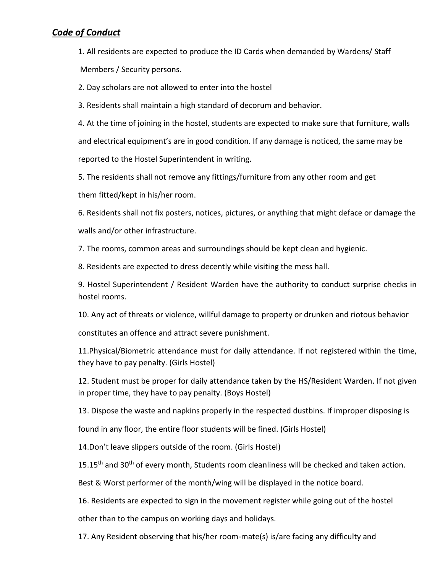#### *Code of Conduct*

1. All residents are expected to produce the ID Cards when demanded by Wardens/ Staff Members / Security persons.

2. Day scholars are not allowed to enter into the hostel

3. Residents shall maintain a high standard of decorum and behavior.

4. At the time of joining in the hostel, students are expected to make sure that furniture, walls and electrical equipment's are in good condition. If any damage is noticed, the same may be reported to the Hostel Superintendent in writing.

5. The residents shall not remove any fittings/furniture from any other room and get

them fitted/kept in his/her room.

6. Residents shall not fix posters, notices, pictures, or anything that might deface or damage the walls and/or other infrastructure.

7. The rooms, common areas and surroundings should be kept clean and hygienic.

8. Residents are expected to dress decently while visiting the mess hall.

9. Hostel Superintendent / Resident Warden have the authority to conduct surprise checks in hostel rooms.

10. Any act of threats or violence, willful damage to property or drunken and riotous behavior

constitutes an offence and attract severe punishment.

11.Physical/Biometric attendance must for daily attendance. If not registered within the time, they have to pay penalty. (Girls Hostel)

12. Student must be proper for daily attendance taken by the HS/Resident Warden. If not given in proper time, they have to pay penalty. (Boys Hostel)

13. Dispose the waste and napkins properly in the respected dustbins. If improper disposing is

found in any floor, the entire floor students will be fined. (Girls Hostel)

14.Don't leave slippers outside of the room. (Girls Hostel)

15.15<sup>th</sup> and 30<sup>th</sup> of every month, Students room cleanliness will be checked and taken action.

Best & Worst performer of the month/wing will be displayed in the notice board.

16. Residents are expected to sign in the movement register while going out of the hostel

other than to the campus on working days and holidays.

17. Any Resident observing that his/her room-mate(s) is/are facing any difficulty and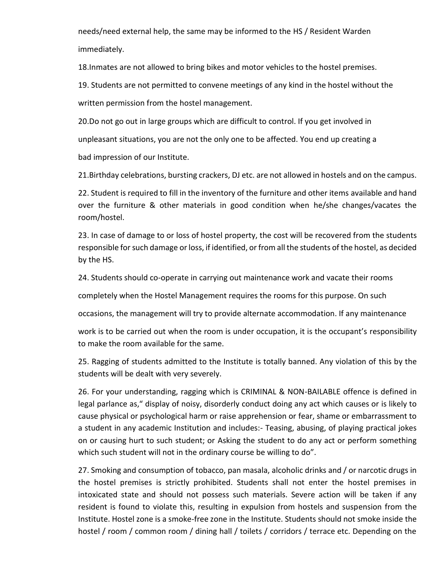needs/need external help, the same may be informed to the HS / Resident Warden immediately.

18.Inmates are not allowed to bring bikes and motor vehicles to the hostel premises.

19. Students are not permitted to convene meetings of any kind in the hostel without the written permission from the hostel management.

20.Do not go out in large groups which are difficult to control. If you get involved in unpleasant situations, you are not the only one to be affected. You end up creating a bad impression of our Institute.

21.Birthday celebrations, bursting crackers, DJ etc. are not allowed in hostels and on the campus.

22. Student is required to fill in the inventory of the furniture and other items available and hand over the furniture & other materials in good condition when he/she changes/vacates the room/hostel.

23. In case of damage to or loss of hostel property, the cost will be recovered from the students responsible for such damage or loss, if identified, or from all the students of the hostel, as decided by the HS.

24. Students should co-operate in carrying out maintenance work and vacate their rooms

completely when the Hostel Management requires the rooms for this purpose. On such

occasions, the management will try to provide alternate accommodation. If any maintenance

work is to be carried out when the room is under occupation, it is the occupant's responsibility to make the room available for the same.

25. Ragging of students admitted to the Institute is totally banned. Any violation of this by the students will be dealt with very severely.

26. For your understanding, ragging which is CRIMINAL & NON-BAILABLE offence is defined in legal parlance as," display of noisy, disorderly conduct doing any act which causes or is likely to cause physical or psychological harm or raise apprehension or fear, shame or embarrassment to a student in any academic Institution and includes:- Teasing, abusing, of playing practical jokes on or causing hurt to such student; or Asking the student to do any act or perform something which such student will not in the ordinary course be willing to do".

27. Smoking and consumption of tobacco, pan masala, alcoholic drinks and / or narcotic drugs in the hostel premises is strictly prohibited. Students shall not enter the hostel premises in intoxicated state and should not possess such materials. Severe action will be taken if any resident is found to violate this, resulting in expulsion from hostels and suspension from the Institute. Hostel zone is a smoke-free zone in the Institute. Students should not smoke inside the hostel / room / common room / dining hall / toilets / corridors / terrace etc. Depending on the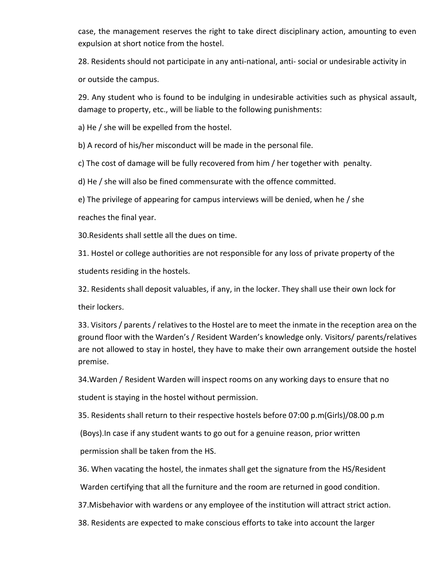case, the management reserves the right to take direct disciplinary action, amounting to even expulsion at short notice from the hostel.

28. Residents should not participate in any anti-national, anti- social or undesirable activity in or outside the campus.

29. Any student who is found to be indulging in undesirable activities such as physical assault, damage to property, etc., will be liable to the following punishments:

a) He / she will be expelled from the hostel.

b) A record of his/her misconduct will be made in the personal file.

c) The cost of damage will be fully recovered from him / her together with penalty.

d) He / she will also be fined commensurate with the offence committed.

e) The privilege of appearing for campus interviews will be denied, when he / she

reaches the final year.

30.Residents shall settle all the dues on time.

31. Hostel or college authorities are not responsible for any loss of private property of the students residing in the hostels.

32. Residents shall deposit valuables, if any, in the locker. They shall use their own lock for their lockers.

33. Visitors / parents / relatives to the Hostel are to meet the inmate in the reception area on the ground floor with the Warden's / Resident Warden's knowledge only. Visitors/ parents/relatives are not allowed to stay in hostel, they have to make their own arrangement outside the hostel premise.

34.Warden / Resident Warden will inspect rooms on any working days to ensure that no

student is staying in the hostel without permission.

35. Residents shall return to their respective hostels before 07:00 p.m(Girls)/08.00 p.m

(Boys).In case if any student wants to go out for a genuine reason, prior written

permission shall be taken from the HS.

36. When vacating the hostel, the inmates shall get the signature from the HS/Resident

Warden certifying that all the furniture and the room are returned in good condition.

37.Misbehavior with wardens or any employee of the institution will attract strict action.

38. Residents are expected to make conscious efforts to take into account the larger